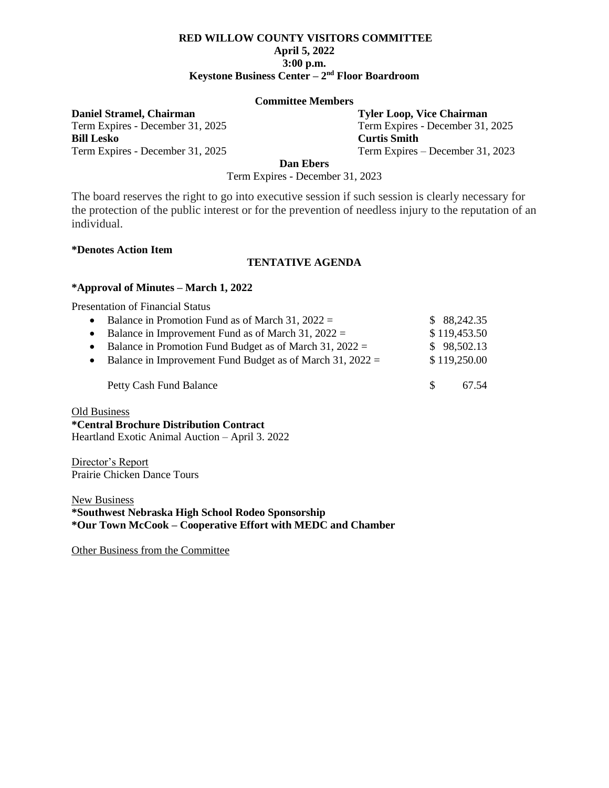## **RED WILLOW COUNTY VISITORS COMMITTEE April 5, 2022 3:00 p.m. Keystone Business Center – 2 nd Floor Boardroom**

#### **Committee Members**

**Daniel Stramel, Chairman Tyler Loop, Vice Chairman**

**Bill Lesko Curtis Smith**

Term Expires - December 31, 2025 Term Expires - December 31, 2025 Term Expires - December 31, 2025 Term Expires – December 31, 2023

**Dan Ebers**

Term Expires - December 31, 2023

The board reserves the right to go into executive session if such session is clearly necessary for the protection of the public interest or for the prevention of needless injury to the reputation of an individual.

#### **\*Denotes Action Item**

### **TENTATIVE AGENDA**

### **\*Approval of Minutes – March 1, 2022**

Presentation of Financial Status

| $\bullet$ | Balance in Promotion Fund as of March 31, $2022 =$            |     | \$88,242.35  |
|-----------|---------------------------------------------------------------|-----|--------------|
|           | • Balance in Improvement Fund as of March 31, $2022 =$        |     | \$119,453.50 |
|           | • Balance in Promotion Fund Budget as of March 31, $2022 =$   |     | \$98,502.13  |
|           | • Balance in Improvement Fund Budget as of March 31, $2022 =$ |     | \$119,250.00 |
|           | Petty Cash Fund Balance                                       | -SS | 67.54        |

Old Business

**\*Central Brochure Distribution Contract** Heartland Exotic Animal Auction – April 3. 2022

Director's Report Prairie Chicken Dance Tours

**New Business \*Southwest Nebraska High School Rodeo Sponsorship \*Our Town McCook – Cooperative Effort with MEDC and Chamber**

Other Business from the Committee